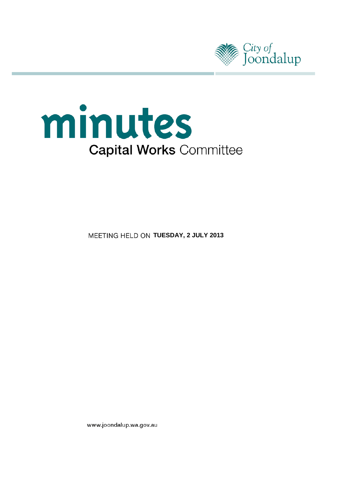



**MEETING HELD ON TUESDAY, 2 JULY 2013** 

www.joondalup.wa.gov.au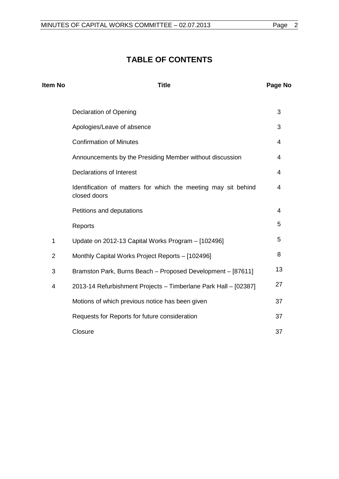# **TABLE OF CONTENTS**

| Item No        | <b>Title</b>                                                                   | Page No |
|----------------|--------------------------------------------------------------------------------|---------|
|                | <b>Declaration of Opening</b>                                                  | 3       |
|                | Apologies/Leave of absence                                                     | 3       |
|                | <b>Confirmation of Minutes</b>                                                 | 4       |
|                | Announcements by the Presiding Member without discussion                       | 4       |
|                | <b>Declarations of Interest</b>                                                | 4       |
|                | Identification of matters for which the meeting may sit behind<br>closed doors | 4       |
|                | Petitions and deputations                                                      | 4       |
|                | Reports                                                                        | 5       |
| $\mathbf{1}$   | Update on 2012-13 Capital Works Program - [102496]                             | 5       |
| $\overline{2}$ | Monthly Capital Works Project Reports - [102496]                               | 8       |
| 3              | Bramston Park, Burns Beach - Proposed Development - [87611]                    | 13      |
| $\overline{4}$ | 2013-14 Refurbishment Projects - Timberlane Park Hall - [02387]                | 27      |
|                | Motions of which previous notice has been given                                | 37      |
|                | Requests for Reports for future consideration                                  | 37      |
|                | Closure                                                                        | 37      |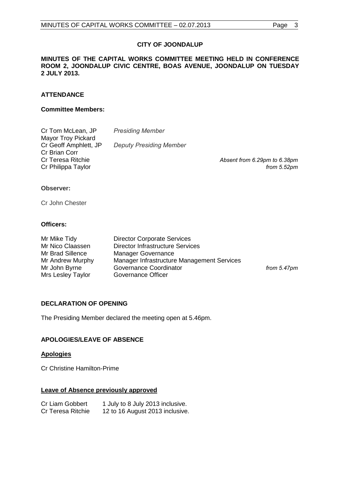# **CITY OF JOONDALUP**

#### **MINUTES OF THE CAPITAL WORKS COMMITTEE MEETING HELD IN CONFERENCE ROOM 2, JOONDALUP CIVIC CENTRE, BOAS AVENUE, JOONDALUP ON TUESDAY 2 JULY 2013.**

# **ATTENDANCE**

#### **Committee Members:**

| <b>Presiding Member</b>        |                              |
|--------------------------------|------------------------------|
|                                |                              |
| <b>Deputy Presiding Member</b> |                              |
|                                |                              |
|                                | Absent from 6.29pm to 6.38pm |
|                                | from $5.52$ pm               |
|                                |                              |

#### **Observer:**

Cr John Chester

#### **Officers:**

| Mr Mike Tidy      | <b>Director Corporate Services</b>         |                |
|-------------------|--------------------------------------------|----------------|
| Mr Nico Claassen  | <b>Director Infrastructure Services</b>    |                |
| Mr Brad Sillence  | <b>Manager Governance</b>                  |                |
| Mr Andrew Murphy  | Manager Infrastructure Management Services |                |
| Mr John Byrne     | Governance Coordinator                     | from $5.47$ pm |
| Mrs Lesley Taylor | Governance Officer                         |                |

## <span id="page-2-0"></span>**DECLARATION OF OPENING**

The Presiding Member declared the meeting open at 5.46pm.

# <span id="page-2-1"></span>**APOLOGIES/LEAVE OF ABSENCE**

#### **Apologies**

Cr Christine Hamilton-Prime

# **Leave of Absence previously approved**

| Cr Liam Gobbert   | 1 July to 8 July 2013 inclusive. |
|-------------------|----------------------------------|
| Cr Teresa Ritchie | 12 to 16 August 2013 inclusive.  |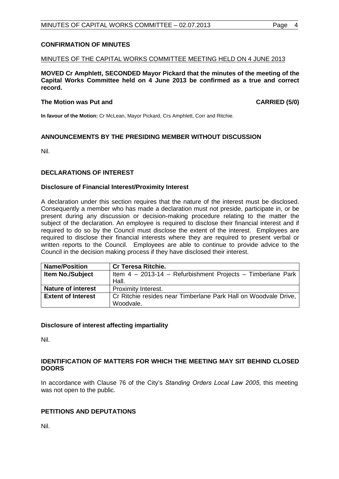## <span id="page-3-0"></span>**CONFIRMATION OF MINUTES**

#### MINUTES OF THE CAPITAL WORKS COMMITTEE MEETING HELD ON 4 JUNE 2013

**MOVED Cr Amphlett, SECONDED Mayor Pickard that the minutes of the meeting of the Capital Works Committee held on 4 June 2013 be confirmed as a true and correct record.**

#### **The Motion was Put and CARRIED (5/0) CARRIED (5/0)**

**In favour of the Motion:** Cr McLean, Mayor Pickard, Crs Amphlett, Corr and Ritchie.

## <span id="page-3-1"></span>**ANNOUNCEMENTS BY THE PRESIDING MEMBER WITHOUT DISCUSSION**

Nil.

## <span id="page-3-2"></span>**DECLARATIONS OF INTEREST**

#### **Disclosure of Financial Interest/Proximity Interest**

A declaration under this section requires that the nature of the interest must be disclosed. Consequently a member who has made a declaration must not preside, participate in, or be present during any discussion or decision-making procedure relating to the matter the subject of the declaration. An employee is required to disclose their financial interest and if required to do so by the Council must disclose the extent of the interest. Employees are required to disclose their financial interests where they are required to present verbal or written reports to the Council. Employees are able to continue to provide advice to the Council in the decision making process if they have disclosed their interest.

| <b>Name/Position</b>      | <b>Cr Teresa Ritchie.</b>                                                    |
|---------------------------|------------------------------------------------------------------------------|
| <b>Item No./Subject</b>   | Item 4 - 2013-14 - Refurbishment Projects - Timberlane Park                  |
|                           | Hall.                                                                        |
| <b>Nature of interest</b> | <b>Proximity Interest.</b>                                                   |
| <b>Extent of Interest</b> | Cr Ritchie resides near Timberlane Park Hall on Woodvale Drive,<br>Woodvale. |

## **Disclosure of interest affecting impartiality**

Nil.

## <span id="page-3-3"></span>**IDENTIFICATION OF MATTERS FOR WHICH THE MEETING MAY SIT BEHIND CLOSED DOORS**

In accordance with Clause 76 of the City's *Standing Orders Local Law 2005*, this meeting was not open to the public.

# <span id="page-3-4"></span>**PETITIONS AND DEPUTATIONS**

Nil.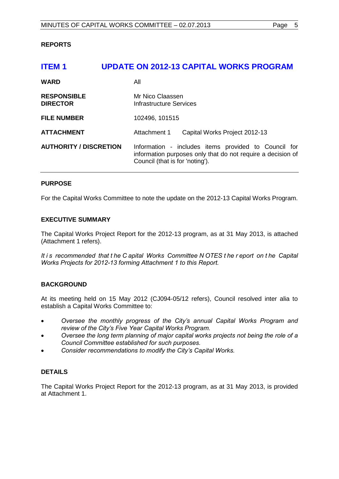## <span id="page-4-0"></span>**REPORTS**

# <span id="page-4-1"></span>**ITEM 1 UPDATE ON 2012-13 CAPITAL WORKS PROGRAM WARD** All **RESPONSIBLE** Mr Nico Claassen<br> **DIRECTOR** Infrastructure Serv **Infrastructure Services FILE NUMBER** 102496, 101515 **ATTACHMENT** Attachment 1 Capital Works Project 2012-13 **AUTHORITY / DISCRETION** Information - includes items provided to Council for information purposes only that do not require a decision of Council (that is for 'noting').

## **PURPOSE**

For the Capital Works Committee to note the update on the 2012-13 Capital Works Program.

## **EXECUTIVE SUMMARY**

The Capital Works Project Report for the 2012-13 program, as at 31 May 2013, is attached (Attachment 1 refers).

*It i s recommended that t he C apital Works Committee N OTES t he r eport on t he Capital Works Projects for 2012-13 forming Attachment 1 to this Report.*

## **BACKGROUND**

At its meeting held on 15 May 2012 (CJ094-05/12 refers), Council resolved inter alia to establish a Capital Works Committee to:

- *Oversee the monthly progress of the City's annual Capital Works Program and review of the City's Five Year Capital Works Program.*
- *Oversee the long term planning of major capital works projects not being the role of a Council Committee established for such purposes.*
- *Consider recommendations to modify the City's Capital Works.*

# **DETAILS**

The Capital Works Project Report for the 2012-13 program, as at 31 May 2013, is provided at Attachment 1.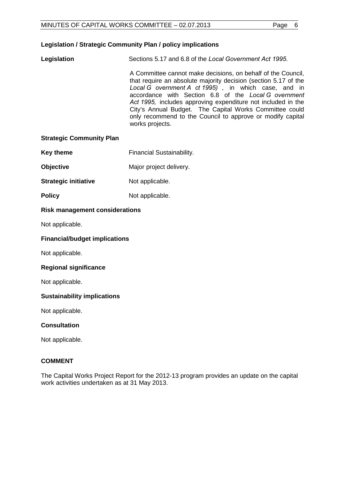# **Legislation / Strategic Community Plan / policy implications**

**Legislation** Sections 5.17 and 6.8 of the *Local Government Act 1995.*

A Committee cannot make decisions, on behalf of the Council, that require an absolute majority decision (section 5.17 of the *Local G overnment A ct 1995)* , in which case, and in accordance with Section 6.8 of the *Local G overnment Act 1995,* includes approving expenditure not included in the City's Annual Budget. The Capital Works Committee could only recommend to the Council to approve or modify capital works projects.

#### **Strategic Community Plan**

- **Key theme** Financial Sustainability.
- **Objective** Major project delivery.
- **Strategic initiative** Not applicable.
- **Policy** Not applicable.

## **Risk management considerations**

Not applicable.

#### **Financial/budget implications**

Not applicable.

## **Regional significance**

Not applicable.

## **Sustainability implications**

Not applicable.

## **Consultation**

Not applicable.

## **COMMENT**

The Capital Works Project Report for the 2012-13 program provides an update on the capital work activities undertaken as at 31 May 2013.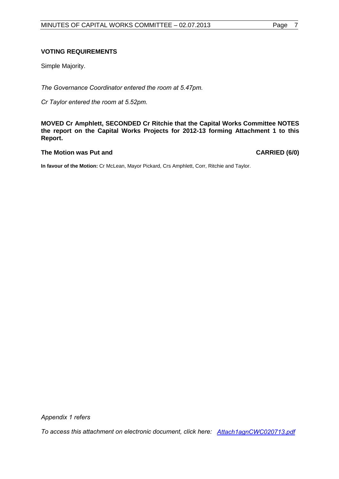#### **VOTING REQUIREMENTS**

Simple Majority.

*The Governance Coordinator entered the room at 5.47pm.*

*Cr Taylor entered the room at 5.52pm.*

**MOVED Cr Amphlett, SECONDED Cr Ritchie that the Capital Works Committee NOTES the report on the Capital Works Projects for 2012-13 forming Attachment 1 to this Report.**

#### The Motion was Put and **CARRIED** (6/0)

**In favour of the Motion:** Cr McLean, Mayor Pickard, Crs Amphlett, Corr, Ritchie and Taylor.

*Appendix 1 refers*

*[To access this attachment on electronic document, click here: Attach1agnCWC020713.pdf](http://www.joondalup.wa.gov.au/files/committees/CWOC/2013/Attach1agnCWC020713.pdf)*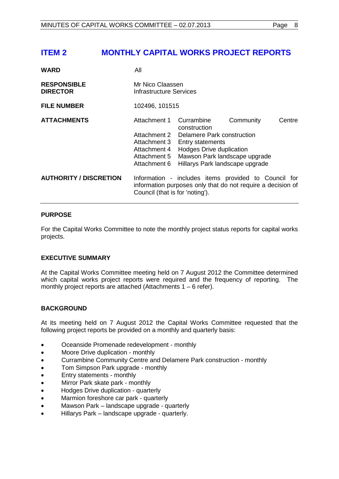# <span id="page-7-0"></span>**ITEM 2 MONTHLY CAPITAL WORKS PROJECT REPORTS**

| <b>WARD</b>                           | All                                                                                          |                                                                                                                                                                                            |           |        |
|---------------------------------------|----------------------------------------------------------------------------------------------|--------------------------------------------------------------------------------------------------------------------------------------------------------------------------------------------|-----------|--------|
| <b>RESPONSIBLE</b><br><b>DIRECTOR</b> | Mr Nico Claassen<br><b>Infrastructure Services</b>                                           |                                                                                                                                                                                            |           |        |
| <b>FILE NUMBER</b>                    | 102496, 101515                                                                               |                                                                                                                                                                                            |           |        |
| <b>ATTACHMENTS</b>                    | Attachment 1<br>Attachment 2<br>Attachment 3<br>Attachment 4<br>Attachment 5<br>Attachment 6 | Currambine<br>construction<br><b>Delamere Park construction</b><br><b>Entry statements</b><br>Hodges Drive duplication<br>Mawson Park landscape upgrade<br>Hillarys Park landscape upgrade | Community | Centre |
| <b>AUTHORITY / DISCRETION</b>         | Council (that is for 'noting').                                                              | Information - includes items provided to Council for<br>information purposes only that do not require a decision of                                                                        |           |        |

## **PURPOSE**

For the Capital Works Committee to note the monthly project status reports for capital works projects.

## **EXECUTIVE SUMMARY**

At the Capital Works Committee meeting held on 7 August 2012 the Committee determined which capital works project reports were required and the frequency of reporting. The monthly project reports are attached (Attachments 1 – 6 refer).

## **BACKGROUND**

At its meeting held on 7 August 2012 the Capital Works Committee requested that the following project reports be provided on a monthly and quarterly basis:

- Oceanside Promenade redevelopment monthly
- Moore Drive duplication monthly
- Currambine Community Centre and Delamere Park construction monthly
- Tom Simpson Park upgrade monthly
- Entry statements monthly
- Mirror Park skate park monthly
- Hodges Drive duplication quarterly
- Marmion foreshore car park quarterly
- Mawson Park landscape upgrade quarterly
- Hillarys Park landscape upgrade quarterly.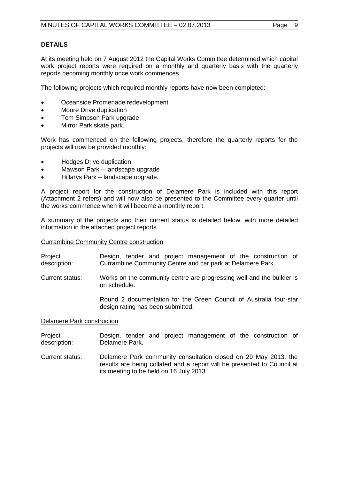# **DETAILS**

At its meeting held on 7 August 2012 the Capital Works Committee determined which capital work project reports were required on a monthly and quarterly basis with the quarterly reports becoming monthly once work commences.

The following projects which required monthly reports have now been completed:

- Oceanside Promenade redevelopment
- Moore Drive duplication
- Tom Simpson Park upgrade
- Mirror Park skate park.

Work has commenced on the following projects, therefore the quarterly reports for the projects will now be provided monthly:

- Hodges Drive duplication
- Mawson Park landscape upgrade
- Hillarys Park landscape upgrade.

A project report for the construction of Delamere Park is included with this report (Attachment 2 refers) and will now also be presented to the Committee every quarter until the works commence when it will become a monthly report.

A summary of the projects and their current status is detailed below, with more detailed information in the attached project reports.

Currambine Community Centre construction

- Project description: Design, tender and project management of the construction of Currambine Community Centre and car park at Delamere Park.
- Current status: Works on the community centre are progressing well and the builder is on schedule.

Round 2 documentation for the Green Council of Australia four-star design rating has been submitted.

#### Delamere Park construction

- **Project** description: Design, tender and project management of the construction of Delamere Park.
- Current status: Delamere Park community consultation closed on 29 May 2013, the results are being collated and a report will be presented to Council at its meeting to be held on 16 July 2013.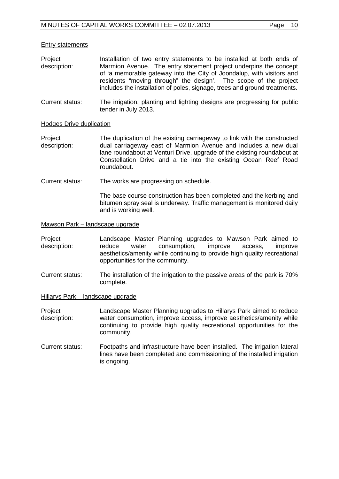#### Entry statements

- Project description: Installation of two entry statements to be installed at both ends of Marmion Avenue. The entry statement project underpins the concept of 'a memorable gateway into the City of Joondalup, with visitors and residents "moving through" the design'. The scope of the project includes the installation of poles, signage, trees and ground treatments.
- Current status: The irrigation, planting and lighting designs are progressing for public tender in July 2013.

#### Hodges Drive duplication

- Project description: The duplication of the existing carriageway to link with the constructed dual carriageway east of Marmion Avenue and includes a new dual lane roundabout at Venturi Drive, upgrade of the existing roundabout at Constellation Drive and a tie into the existing Ocean Reef Road roundabout.
- Current status: The works are progressing on schedule.

The base course construction has been completed and the kerbing and bitumen spray seal is underway. Traffic management is monitored daily and is working well.

Mawson Park – landscape upgrade

- Project description: Landscape Master Planning upgrades to Mawson Park aimed to reduce water consumption, improve access, improve aesthetics/amenity while continuing to provide high quality recreational opportunities for the community.
- Current status: The installation of the irrigation to the passive areas of the park is 70% complete.
- Hillarys Park landscape upgrade
- Project description: Landscape Master Planning upgrades to Hillarys Park aimed to reduce water consumption, improve access, improve aesthetics/amenity while continuing to provide high quality recreational opportunities for the community.
- Current status: Footpaths and infrastructure have been installed. The irrigation lateral lines have been completed and commissioning of the installed irrigation is ongoing.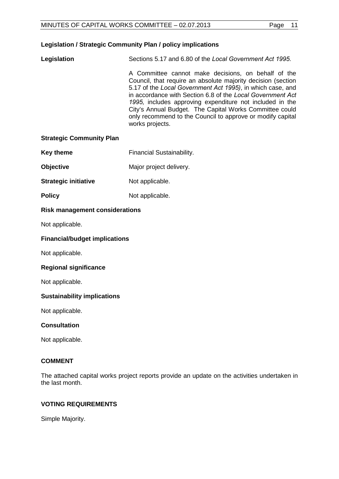## **Legislation / Strategic Community Plan / policy implications**

| Legislation | Sections 5.17 and 6.80 of the Local Government Act 1995.                                                                                                                                                                                                                                                                                                                                                                                                |
|-------------|---------------------------------------------------------------------------------------------------------------------------------------------------------------------------------------------------------------------------------------------------------------------------------------------------------------------------------------------------------------------------------------------------------------------------------------------------------|
|             | A Committee cannot make decisions, on behalf of the<br>Council, that require an absolute majority decision (section<br>5.17 of the Local Government Act 1995), in which case, and<br>in accordance with Section 6.8 of the Local Government Act<br>1995, includes approving expenditure not included in the<br>City's Annual Budget. The Capital Works Committee could<br>only recommend to the Council to approve or modify capital<br>works projects. |

#### **Strategic Community Plan**

- Key theme **Financial Sustainability.**
- **Objective** Major project delivery.
- **Strategic initiative** Not applicable.
- **Policy** Not applicable.

# **Risk management considerations**

Not applicable.

#### **Financial/budget implications**

Not applicable.

#### **Regional significance**

Not applicable.

## **Sustainability implications**

Not applicable.

# **Consultation**

Not applicable.

#### **COMMENT**

The attached capital works project reports provide an update on the activities undertaken in the last month.

#### **VOTING REQUIREMENTS**

Simple Majority.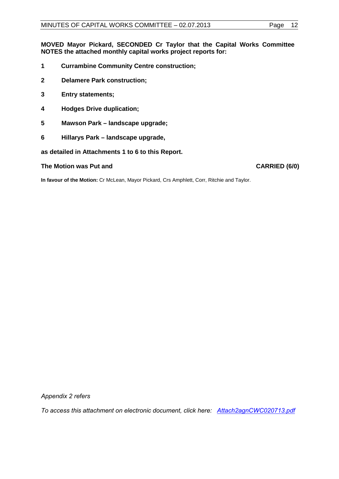**MOVED Mayor Pickard, SECONDED Cr Taylor that the Capital Works Committee NOTES the attached monthly capital works project reports for:**

- **1 Currambine Community Centre construction;**
- **2 Delamere Park construction;**
- **3 Entry statements;**
- **4 Hodges Drive duplication;**
- **5 Mawson Park landscape upgrade;**
- **6 Hillarys Park landscape upgrade,**

**as detailed in Attachments 1 to 6 to this Report.**

#### **The Motion was Put and CARRIED (6/0)**

**In favour of the Motion:** Cr McLean, Mayor Pickard, Crs Amphlett, Corr, Ritchie and Taylor.

*Appendix 2 refers*

*[To access this attachment on electronic document, click here: Attach2agnCWC020713.pdf](http://www.joondalup.wa.gov.au/files/committees/CWOC/2013/Attach2agnCWC020713.pdf)*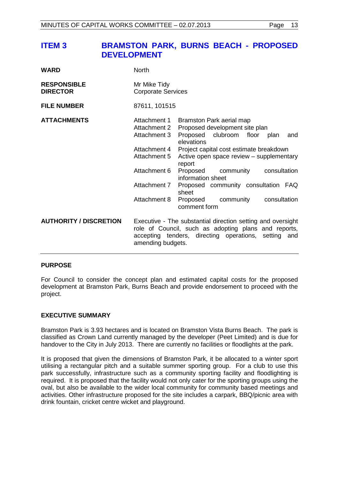# <span id="page-12-0"></span>**ITEM 3 BRAMSTON PARK, BURNS BEACH - PROPOSED DEVELOPMENT**

| <b>WARD</b>                           | <b>North</b>                                 |                                                                                                                                                                             |
|---------------------------------------|----------------------------------------------|-----------------------------------------------------------------------------------------------------------------------------------------------------------------------------|
| <b>RESPONSIBLE</b><br><b>DIRECTOR</b> | Mr Mike Tidy<br><b>Corporate Services</b>    |                                                                                                                                                                             |
| <b>FILE NUMBER</b>                    | 87611, 101515                                |                                                                                                                                                                             |
| <b>ATTACHMENTS</b>                    | Attachment 1<br>Attachment 2<br>Attachment 3 | Bramston Park aerial map<br>Proposed development site plan<br>clubroom floor plan<br>Proposed<br>and<br>elevations                                                          |
|                                       | Attachment 4<br>Attachment 5                 | Project capital cost estimate breakdown<br>Active open space review - supplementary<br>report                                                                               |
|                                       | Attachment 6                                 | Proposed<br>consultation<br>community<br>information sheet                                                                                                                  |
|                                       | Attachment 7                                 | Proposed community consultation FAQ<br>sheet                                                                                                                                |
|                                       | Attachment 8                                 | Proposed<br>community<br>consultation<br>comment form                                                                                                                       |
| <b>AUTHORITY / DISCRETION</b>         | amending budgets.                            | Executive - The substantial direction setting and oversight<br>role of Council, such as adopting plans and reports,<br>accepting tenders, directing operations, setting and |

## **PURPOSE**

For Council to consider the concept plan and estimated capital costs for the proposed development at Bramston Park, Burns Beach and provide endorsement to proceed with the project.

## **EXECUTIVE SUMMARY**

Bramston Park is 3.93 hectares and is located on Bramston Vista Burns Beach. The park is classified as Crown Land currently managed by the developer (Peet Limited) and is due for handover to the City in July 2013. There are currently no facilities or floodlights at the park.

It is proposed that given the dimensions of Bramston Park, it be allocated to a winter sport utilising a rectangular pitch and a suitable summer sporting group. For a club to use this park successfully, infrastructure such as a community sporting facility and floodlighting is required. It is proposed that the facility would not only cater for the sporting groups using the oval, but also be available to the wider local community for community based meetings and activities. Other infrastructure proposed for the site includes a carpark, BBQ/picnic area with drink fountain, cricket centre wicket and playground.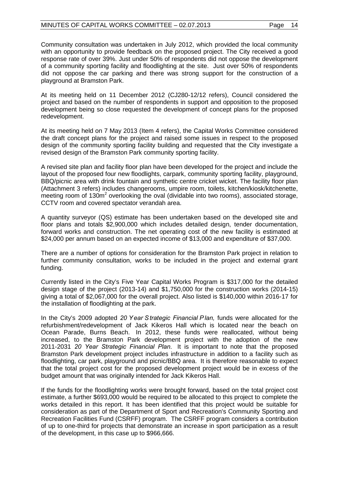Community consultation was undertaken in July 2012, which provided the local community with an opportunity to provide feedback on the proposed project. The City received a good response rate of over 39%. Just under 50% of respondents did not oppose the development of a community sporting facility and floodlighting at the site. Just over 50% of respondents did not oppose the car parking and there was strong support for the construction of a playground at Bramston Park.

At its meeting held on 11 December 2012 (CJ280-12/12 refers), Council considered the project and based on the number of respondents in support and opposition to the proposed development being so close requested the development of concept plans for the proposed redevelopment.

At its meeting held on 7 May 2013 (Item 4 refers), the Capital Works Committee considered the draft concept plans for the project and raised some issues in respect to the proposed design of the community sporting facility building and requested that the City investigate a revised design of the Bramston Park community sporting facility.

A revised site plan and facility floor plan have been developed for the project and include the layout of the proposed four new floodlights, carpark, community sporting facility, playground, BBQ/picnic area with drink fountain and synthetic centre cricket wicket. The facility floor plan (Attachment 3 refers) includes changerooms, umpire room, toilets, kitchen/kiosk/kitchenette, meeting room of 130m<sup>2</sup> overlooking the oval (dividable into two rooms), associated storage, CCTV room and covered spectator verandah area.

A quantity surveyor (QS) estimate has been undertaken based on the developed site and floor plans and totals \$2,900,000 which includes detailed design, tender documentation, forward works and construction. The net operating cost of the new facility is estimated at \$24,000 per annum based on an expected income of \$13,000 and expenditure of \$37,000.

There are a number of options for consideration for the Bramston Park project in relation to further community consultation, works to be included in the project and external grant funding.

Currently listed in the City's Five Year Capital Works Program is \$317,000 for the detailed design stage of the project (2013-14) and \$1,750,000 for the construction works (2014-15) giving a total of \$2,067,000 for the overall project. Also listed is \$140,000 within 2016-17 for the installation of floodlighting at the park.

In the City's 2009 adopted *20 Y ear S trategic Financial P lan,* funds were allocated for the refurbishment/redevelopment of Jack Kikeros Hall which is located near the beach on Ocean Parade, Burns Beach. In 2012, these funds were reallocated, without being increased, to the Bramston Park development project with the adoption of the new 2011-2031 *20 Year Strategic Financial Plan.* It is important to note that the proposed Bramston Park development project includes infrastructure in addition to a facility such as floodlighting, car park, playground and picnic/BBQ area. It is therefore reasonable to expect that the total project cost for the proposed development project would be in excess of the budget amount that was originally intended for Jack Kikeros Hall.

If the funds for the floodlighting works were brought forward, based on the total project cost estimate, a further \$693,000 would be required to be allocated to this project to complete the works detailed in this report. It has been identified that this project would be suitable for consideration as part of the Department of Sport and Recreation's Community Sporting and Recreation Facilities Fund (CSRFF) program. The CSRFF program considers a contribution of up to one-third for projects that demonstrate an increase in sport participation as a result of the development, in this case up to \$966,666.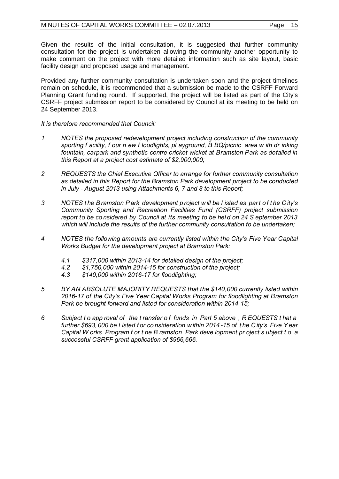Given the results of the initial consultation, it is suggested that further community consultation for the project is undertaken allowing the community another opportunity to make comment on the project with more detailed information such as site layout, basic facility design and proposed usage and management.

Provided any further community consultation is undertaken soon and the project timelines remain on schedule, it is recommended that a submission be made to the CSRFF Forward Planning Grant funding round. If supported, the project will be listed as part of the City's CSRFF project submission report to be considered by Council at its meeting to be held on 24 September 2013.

*It is therefore recommended that Council:*

- *1 NOTES the proposed redevelopment project including construction of the community sporting f acility, f our n ew f loodlights, pl ayground, B BQ/picnic area w ith dr inking fountain, carpark and synthetic centre cricket wicket at Bramston Park as detailed in this Report at a project cost estimate of \$2,900,000;*
- *2 REQUESTS the Chief Executive Officer to arrange for further community consultation as detailed in this Report for the Bramston Park development project to be conducted in July - August 2013 using Attachments 6, 7 and 8 to this Report;*
- *3 NOTES t he B ramston P ark development p roject w ill be l isted as par t o f t he C ity's Community Sporting and Recreation Facilities Fund (CSRFF) project submission report to be co nsidered by Council at its meeting to be hel d on 24 S eptember 2013 which will include the results of the further community consultation to be undertaken;*
- *4 NOTES the following amounts are currently listed within the City's Five Year Capital Works Budget for the development project at Bramston Park:*
	- *4.1 \$317,000 within 2013-14 for detailed design of the project;*
	- *4.2 \$1,750,000 within 2014-15 for construction of the project;*
	- *4.3 \$140,000 within 2016-17 for floodlighting;*
- *5 BY AN ABSOLUTE MAJORITY REQUESTS that the \$140,000 currently listed within 2016-17 of the City's Five Year Capital Works Program for floodlighting at Bramston Park be brought forward and listed for consideration within 2014-15;*
- *6 Subject t o app roval of the t ransfer o f funds in Part 5 above , R EQUESTS t hat a further \$693, 000 be l isted f or co nsideration w ithin 2014 -15 of t he C ity's Five Y ear Capital W orks Program f or t he B ramston Park deve lopment pr oject s ubject t o a successful CSRFF grant application of \$966,666.*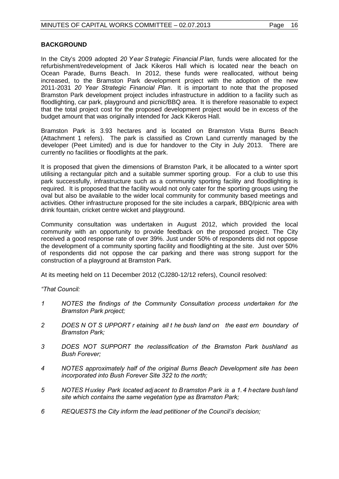# **BACKGROUND**

In the City's 2009 adopted *20 Y ear S trategic Financial P lan*, funds were allocated for the refurbishment/redevelopment of Jack Kikeros Hall which is located near the beach on Ocean Parade, Burns Beach. In 2012, these funds were reallocated, without being increased, to the Bramston Park development project with the adoption of the new 2011-2031 *20 Year Strategic Financial Plan*. It is important to note that the proposed Bramston Park development project includes infrastructure in addition to a facility such as floodlighting, car park, playground and picnic/BBQ area. It is therefore reasonable to expect that the total project cost for the proposed development project would be in excess of the budget amount that was originally intended for Jack Kikeros Hall.

Bramston Park is 3.93 hectares and is located on Bramston Vista Burns Beach (Attachment 1 refers). The park is classified as Crown Land currently managed by the developer (Peet Limited) and is due for handover to the City in July 2013. There are currently no facilities or floodlights at the park.

It is proposed that given the dimensions of Bramston Park, it be allocated to a winter sport utilising a rectangular pitch and a suitable summer sporting group. For a club to use this park successfully, infrastructure such as a community sporting facility and floodlighting is required. It is proposed that the facility would not only cater for the sporting groups using the oval but also be available to the wider local community for community based meetings and activities. Other infrastructure proposed for the site includes a carpark, BBQ/picnic area with drink fountain, cricket centre wicket and playground.

Community consultation was undertaken in August 2012, which provided the local community with an opportunity to provide feedback on the proposed project. The City received a good response rate of over 39%. Just under 50% of respondents did not oppose the development of a community sporting facility and floodlighting at the site. Just over 50% of respondents did not oppose the car parking and there was strong support for the construction of a playground at Bramston Park.

At its meeting held on 11 December 2012 (CJ280-12/12 refers), Council resolved:

*"That Council:*

- *1 NOTES the findings of the Community Consultation process undertaken for the Bramston Park project;*
- *2 DOES N OT S UPPORT r etaining all t he bush land on the east ern boundary of Bramston Park;*
- *3 DOES NOT SUPPORT the reclassification of the Bramston Park bushland as Bush Forever;*
- *4 NOTES approximately half of the original Burns Beach Development site has been incorporated into Bush Forever Site 322 to the north;*
- *5 NOTES Huxley Park located adjacent to Bramston Park is a 1. 4 hectare bushland site which contains the same vegetation type as Bramston Park;*
- *6 REQUESTS the City inform the lead petitioner of the Council's decision;*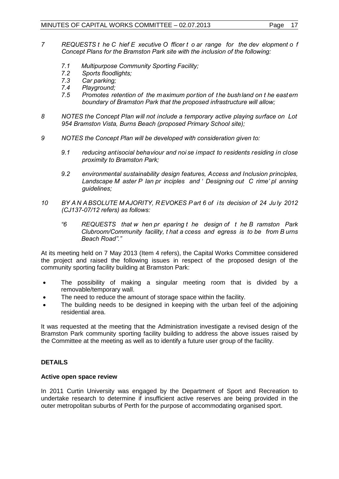- *7 REQUESTS t he C hief E xecutive O fficer t o ar range for the dev elopment o f Concept Plans for the Bramston Park site with the inclusion of the following:*
	- *7.1 Multipurpose Community Sporting Facility;*
	- *7.2 Sports floodlights;*
	- *7.3 Car parking;*
	- *7.4 Playground;*
	- *7.5 Promotes retention of the m aximum portion of the bushland on t he east ern boundary of Bramston Park that the proposed infrastructure will allow;*
- *8 NOTES the Concept Plan will not include a temporary active playing surface on Lot 954 Bramston Vista, Burns Beach (proposed Primary School site);*
- *9 NOTES the Concept Plan will be developed with consideration given to:*
	- *9.1 reducing antisocial behaviour and noi se impact to residents residing in close proximity to Bramston Park;*
	- *9.2 environmental sustainability design features, Access and Inclusion principles, Landscape M aster P lan pr inciples and ' Designing out C rime' pl anning guidelines;*
- *10 BY A N A BSOLUTE M AJORITY, R EVOKES P art 6 of i ts decision of 24 Ju ly 2012 (CJ137-07/12 refers) as follows:*
	- *"6 REQUESTS that w hen pr eparing t he design of t he B ramston Park Clubroom/Community facility, t hat a ccess and egress is to be from B urns Beach Road"."*

At its meeting held on 7 May 2013 (Item 4 refers), the Capital Works Committee considered the project and raised the following issues in respect of the proposed design of the community sporting facility building at Bramston Park:

- The possibility of making a singular meeting room that is divided by a removable/temporary wall.
- The need to reduce the amount of storage space within the facility.
- The building needs to be designed in keeping with the urban feel of the adjoining residential area.

It was requested at the meeting that the Administration investigate a revised design of the Bramston Park community sporting facility building to address the above issues raised by the Committee at the meeting as well as to identify a future user group of the facility.

# **DETAILS**

## **Active open space review**

In 2011 Curtin University was engaged by the Department of Sport and Recreation to undertake research to determine if insufficient active reserves are being provided in the outer metropolitan suburbs of Perth for the purpose of accommodating organised sport.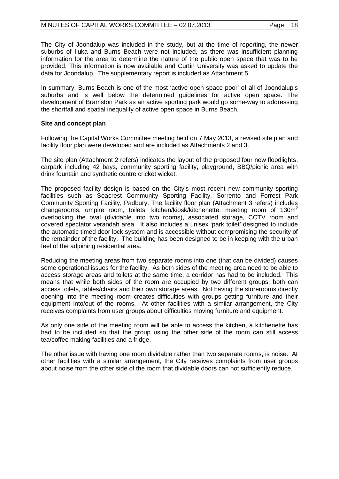The City of Joondalup was included in the study, but at the time of reporting, the newer suburbs of Iluka and Burns Beach were not included, as there was insufficient planning information for the area to determine the nature of the public open space that was to be provided. This information is now available and Curtin University was asked to update the data for Joondalup. The supplementary report is included as Attachment 5.

In summary, Burns Beach is one of the most 'active open space poor' of all of Joondalup's suburbs and is well below the determined guidelines for active open space. The development of Bramston Park as an active sporting park would go some-way to addressing the shortfall and spatial inequality of active open space in Burns Beach.

#### **Site and concept plan**

Following the Capital Works Committee meeting held on 7 May 2013, a revised site plan and facility floor plan were developed and are included as Attachments 2 and 3.

The site plan (Attachment 2 refers) indicates the layout of the proposed four new floodlights, carpark including 42 bays, community sporting facility, playground, BBQ/picnic area with drink fountain and synthetic centre cricket wicket.

The proposed facility design is based on the City's most recent new community sporting facilities such as Seacrest Community Sporting Facility, Sorrento and Forrest Park Community Sporting Facility, Padbury. The facility floor plan (Attachment 3 refers) includes changerooms, umpire room, toilets, kitchen/kiosk/kitchenette, meeting room of 130m<sup>2</sup> overlooking the oval (dividable into two rooms), associated storage, CCTV room and covered spectator verandah area. It also includes a unisex 'park toilet' designed to include the automatic timed door lock system and is accessible without compromising the security of the remainder of the facility. The building has been designed to be in keeping with the urban feel of the adjoining residential area.

Reducing the meeting areas from two separate rooms into one (that can be divided) causes some operational issues for the facility. As both sides of the meeting area need to be able to access storage areas and toilets at the same time, a corridor has had to be included. This means that while both sides of the room are occupied by two different groups, both can access toilets, tables/chairs and their own storage areas. Not having the storerooms directly opening into the meeting room creates difficulties with groups getting furniture and their equipment into/out of the rooms. At other facilities with a similar arrangement, the City receives complaints from user groups about difficulties moving furniture and equipment.

As only one side of the meeting room will be able to access the kitchen, a kitchenette has had to be included so that the group using the other side of the room can still access tea/coffee making facilities and a fridge.

The other issue with having one room dividable rather than two separate rooms, is noise. At other facilities with a similar arrangement, the City receives complaints from user groups about noise from the other side of the room that dividable doors can not sufficiently reduce.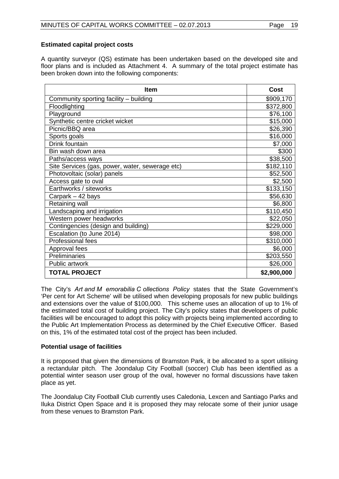# **Estimated capital project costs**

A quantity surveyor (QS) estimate has been undertaken based on the developed site and floor plans and is included as Attachment 4. A summary of the total project estimate has been broken down into the following components:

| <b>Item</b>                                     | Cost        |
|-------------------------------------------------|-------------|
| Community sporting facility - building          | \$909,170   |
| Floodlighting                                   | \$372,800   |
| Playground                                      | \$76,100    |
| Synthetic centre cricket wicket                 | \$15,000    |
| Picnic/BBQ area                                 | \$26,390    |
| Sports goals                                    | \$16,000    |
| Drink fountain                                  | \$7,000     |
| Bin wash down area                              | \$300       |
| Paths/access ways                               | \$38,500    |
| Site Services (gas, power, water, sewerage etc) | \$182,110   |
| Photovoltaic (solar) panels                     | \$52,500    |
| Access gate to oval                             | \$2,500     |
| Earthworks / siteworks                          | \$133,150   |
| Carpark – 42 bays                               | \$56,630    |
| Retaining wall                                  | \$6,800     |
| Landscaping and irrigation                      | \$110,450   |
| Western power headworks                         | \$22,050    |
| Contingencies (design and building)             | \$229,000   |
| Escalation (to June 2014)                       | \$98,000    |
| Professional fees                               | \$310,000   |
| Approval fees                                   | \$6,000     |
| Preliminaries                                   | \$203,550   |
| <b>Public artwork</b>                           | \$26,000    |
| <b>TOTAL PROJECT</b>                            | \$2,900,000 |

The City's *Art and M emorabilia C ollections Policy* states that the State Government's 'Per cent for Art Scheme' will be utilised when developing proposals for new public buildings and extensions over the value of \$100,000. This scheme uses an allocation of up to 1% of the estimated total cost of building project. The City's policy states that developers of public facilities will be encouraged to adopt this policy with projects being implemented according to the Public Art Implementation Process as determined by the Chief Executive Officer. Based on this, 1% of the estimated total cost of the project has been included.

## **Potential usage of facilities**

It is proposed that given the dimensions of Bramston Park, it be allocated to a sport utilising a rectandular pitch. The Joondalup City Football (soccer) Club has been identified as a potential winter season user group of the oval, however no formal discussions have taken place as yet.

The Joondalup City Football Club currently uses Caledonia, Lexcen and Santiago Parks and Iluka District Open Space and it is proposed they may relocate some of their junior usage from these venues to Bramston Park.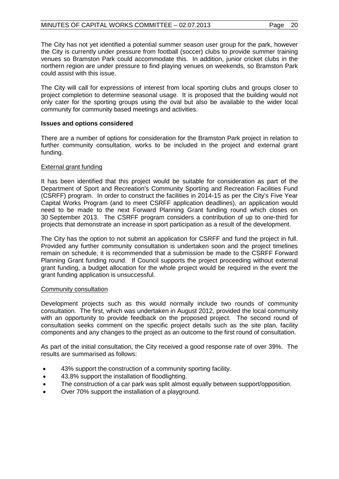The City has not yet identified a potential summer season user group for the park, however the City is currently under pressure from football (soccer) clubs to provide summer training venues so Bramston Park could accommodate this. In addition, junior cricket clubs in the northern region are under pressure to find playing venues on weekends, so Bramston Park could assist with this issue.

The City will call for expressions of interest from local sporting clubs and groups closer to project completion to determine seasonal usage. It is proposed that the building would not only cater for the sporting groups using the oval but also be available to the wider local community for community based meetings and activities.

#### **Issues and options considered**

There are a number of options for consideration for the Bramston Park project in relation to further community consultation, works to be included in the project and external grant funding.

#### External grant funding

It has been identified that this project would be suitable for consideration as part of the Department of Sport and Recreation's Community Sporting and Recreation Facilities Fund (CSRFF) program. In order to construct the facilities in 2014-15 as per the City's Five Year Capital Works Program (and to meet CSRFF application deadlines), an application would need to be made to the next Forward Planning Grant funding round which closes on 30 September 2013. The CSRFF program considers a contribution of up to one-third for projects that demonstrate an increase in sport participation as a result of the development.

The City has the option to not submit an application for CSRFF and fund the project in full. Provided any further community consultation is undertaken soon and the project timelines remain on schedule, it is recommended that a submission be made to the CSRFF Forward Planning Grant funding round. If Council supports the project proceeding without external grant funding, a budget allocation for the whole project would be required in the event the grant funding application is unsuccessful.

#### Community consultation

Development projects such as this would normally include two rounds of community consultation. The first, which was undertaken in August 2012, provided the local community with an opportunity to provide feedback on the proposed project. The second round of consultation seeks comment on the specific project details such as the site plan, facility components and any changes to the project as an outcome to the first round of consultation.

As part of the initial consultation, the City received a good response rate of over 39%. The results are summarised as follows:

- 43% support the construction of a community sporting facility.
- 43.8% support the installation of floodlighting.
- The construction of a car park was split almost equally between support/opposition.
- Over 70% support the installation of a playground.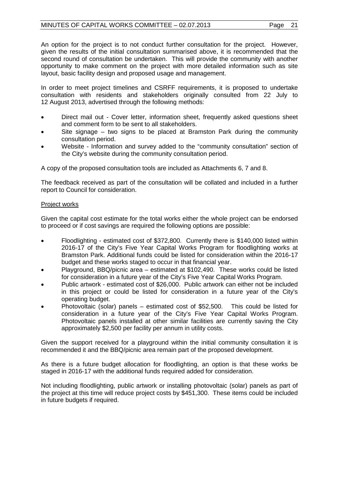An option for the project is to not conduct further consultation for the project. However, given the results of the initial consultation summarised above, it is recommended that the second round of consultation be undertaken. This will provide the community with another opportunity to make comment on the project with more detailed information such as site layout, basic facility design and proposed usage and management.

In order to meet project timelines and CSRFF requirements, it is proposed to undertake consultation with residents and stakeholders originally consulted from 22 July to 12 August 2013, advertised through the following methods:

- Direct mail out Cover letter, information sheet, frequently asked questions sheet and comment form to be sent to all stakeholders.
- Site signage two signs to be placed at Bramston Park during the community consultation period.
- Website Information and survey added to the "community consultation" section of the City's website during the community consultation period.

A copy of the proposed consultation tools are included as Attachments 6, 7 and 8.

The feedback received as part of the consultation will be collated and included in a further report to Council for consideration.

## Project works

Given the capital cost estimate for the total works either the whole project can be endorsed to proceed or if cost savings are required the following options are possible:

- Floodlighting estimated cost of \$372,800. Currently there is \$140,000 listed within 2016-17 of the City's Five Year Capital Works Program for floodlighting works at Bramston Park. Additional funds could be listed for consideration within the 2016-17 budget and these works staged to occur in that financial year.
- Playground, BBQ/picnic area estimated at \$102,490. These works could be listed for consideration in a future year of the City's Five Year Capital Works Program.
- Public artwork estimated cost of \$26,000. Public artwork can either not be included in this project or could be listed for consideration in a future year of the City's operating budget.
- Photovoltaic (solar) panels estimated cost of \$52,500. This could be listed for consideration in a future year of the City's Five Year Capital Works Program. Photovoltaic panels installed at other similar facilities are currently saving the City approximately \$2,500 per facility per annum in utility costs.

Given the support received for a playground within the initial community consultation it is recommended it and the BBQ/picnic area remain part of the proposed development.

As there is a future budget allocation for floodlighting, an option is that these works be staged in 2016-17 with the additional funds required added for consideration.

Not including floodlighting, public artwork or installing photovoltaic (solar) panels as part of the project at this time will reduce project costs by \$451,300. These items could be included in future budgets if required.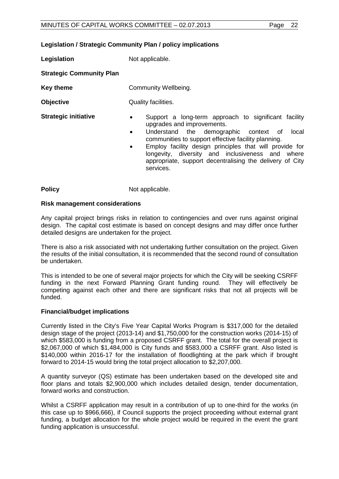#### **Legislation / Strategic Community Plan / policy implications**

**Legislation** Not applicable.

**Strategic Community Plan**

- **Key theme Community Wellbeing.**
- **Objective** Quality facilities.
- 
- **Strategic initiative •** Support a long-term approach to significant facility upgrades and improvements.
	- Understand the demographic context of local communities to support effective facility planning.
	- Employ facility design principles that will provide for longevity, diversity and inclusiveness and where appropriate, support decentralising the delivery of City services.

**Policy** Not applicable.

#### **Risk management considerations**

Any capital project brings risks in relation to contingencies and over runs against original design. The capital cost estimate is based on concept designs and may differ once further detailed designs are undertaken for the project.

There is also a risk associated with not undertaking further consultation on the project. Given the results of the initial consultation, it is recommended that the second round of consultation be undertaken.

This is intended to be one of several major projects for which the City will be seeking CSRFF funding in the next Forward Planning Grant funding round. They will effectively be competing against each other and there are significant risks that not all projects will be funded.

## **Financial/budget implications**

Currently listed in the City's Five Year Capital Works Program is \$317,000 for the detailed design stage of the project (2013-14) and \$1,750,000 for the construction works (2014-15) of which \$583,000 is funding from a proposed CSRFF grant. The total for the overall project is \$2,067,000 of which \$1,484,000 is City funds and \$583,000 a CSRFF grant. Also listed is \$140,000 within 2016-17 for the installation of floodlighting at the park which if brought forward to 2014-15 would bring the total project allocation to \$2,207,000.

A quantity surveyor (QS) estimate has been undertaken based on the developed site and floor plans and totals \$2,900,000 which includes detailed design, tender documentation, forward works and construction.

Whilst a CSRFF application may result in a contribution of up to one-third for the works (in this case up to \$966,666), if Council supports the project proceeding without external grant funding, a budget allocation for the whole project would be required in the event the grant funding application is unsuccessful.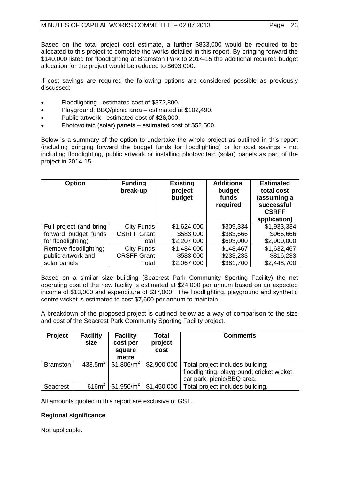Based on the total project cost estimate, a further \$833,000 would be required to be allocated to this project to complete the works detailed in this report. By bringing forward the \$140,000 listed for floodlighting at Bramston Park to 2014-15 the additional required budget allocation for the project would be reduced to \$693,000.

If cost savings are required the following options are considered possible as previously discussed:

- Floodlighting estimated cost of \$372,800.
- Playground, BBQ/picnic area estimated at \$102,490.
- Public artwork estimated cost of \$26,000.
- Photovoltaic (solar) panels estimated cost of \$52,500.

Below is a summary of the option to undertake the whole project as outlined in this report (including bringing forward the budget funds for floodlighting) or for cost savings - not including floodlighting, public artwork or installing photovoltaic (solar) panels as part of the project in 2014-15.

| <b>Option</b>           | <b>Funding</b><br>break-up | <b>Existing</b><br>project<br>budget | <b>Additional</b><br>budget<br>funds<br>required | <b>Estimated</b><br>total cost<br>(assuming a<br>successful<br><b>CSRFF</b><br>application) |
|-------------------------|----------------------------|--------------------------------------|--------------------------------------------------|---------------------------------------------------------------------------------------------|
| Full project (and bring | City Funds                 | \$1,624,000                          | \$309,334                                        | \$1,933,334                                                                                 |
| forward budget funds    | <b>CSRFF Grant</b>         | \$583,000                            | \$383,666                                        | \$966,666                                                                                   |
| for floodlighting)      | Total                      | \$2,207,000                          | \$693,000                                        | \$2,900,000                                                                                 |
| Remove floodlighting;   | City Funds                 | \$1,484,000                          | \$148,467                                        | \$1,632,467                                                                                 |
| public artwork and      | <b>CRSFF Grant</b>         | \$583,000                            | \$233,233                                        | \$816,233                                                                                   |
| solar panels            | Total                      | \$2,067,000                          | \$381,700                                        | \$2,448,700                                                                                 |

Based on a similar size building (Seacrest Park Community Sporting Facility) the net operating cost of the new facility is estimated at \$24,000 per annum based on an expected income of \$13,000 and expenditure of \$37,000. The floodlighting, playground and synthetic centre wicket is estimated to cost \$7,600 per annum to maintain.

A breakdown of the proposed project is outlined below as a way of comparison to the size and cost of the Seacrest Park Community Sporting Facility project.

| <b>Project</b>  | <b>Facility</b><br>size | <b>Facility</b><br>cost per<br>square<br>metre | Total<br>project<br>cost | <b>Comments</b>                                                                                              |
|-----------------|-------------------------|------------------------------------------------|--------------------------|--------------------------------------------------------------------------------------------------------------|
| <b>Bramston</b> | 433.5m <sup>2</sup>     | \$1,806/ $m^2$                                 | \$2,900,000              | Total project includes building;<br>floodlighting; playground; cricket wicket;<br>car park; picnic/BBQ area. |
| Seacrest        | 616m <sup>2</sup>       | \$1,950/m <sup>2</sup>                         | \$1,450,000              | Total project includes building.                                                                             |

All amounts quoted in this report are exclusive of GST.

# **Regional significance**

Not applicable.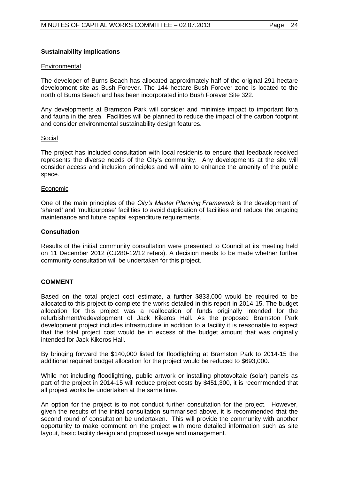#### **Sustainability implications**

#### **Environmental**

The developer of Burns Beach has allocated approximately half of the original 291 hectare development site as Bush Forever. The 144 hectare Bush Forever zone is located to the north of Burns Beach and has been incorporated into Bush Forever Site 322.

Any developments at Bramston Park will consider and minimise impact to important flora and fauna in the area. Facilities will be planned to reduce the impact of the carbon footprint and consider environmental sustainability design features.

#### Social

The project has included consultation with local residents to ensure that feedback received represents the diverse needs of the City's community. Any developments at the site will consider access and inclusion principles and will aim to enhance the amenity of the public space.

#### Economic

One of the main principles of the *City's Master Planning Framework* is the development of 'shared' and 'multipurpose' facilities to avoid duplication of facilities and reduce the ongoing maintenance and future capital expenditure requirements.

#### **Consultation**

Results of the initial community consultation were presented to Council at its meeting held on 11 December 2012 (CJ280-12/12 refers). A decision needs to be made whether further community consultation will be undertaken for this project.

#### **COMMENT**

Based on the total project cost estimate, a further \$833,000 would be required to be allocated to this project to complete the works detailed in this report in 2014-15. The budget allocation for this project was a reallocation of funds originally intended for the refurbishment/redevelopment of Jack Kikeros Hall. As the proposed Bramston Park development project includes infrastructure in addition to a facility it is reasonable to expect that the total project cost would be in excess of the budget amount that was originally intended for Jack Kikeros Hall.

By bringing forward the \$140,000 listed for floodlighting at Bramston Park to 2014-15 the additional required budget allocation for the project would be reduced to \$693,000.

While not including floodlighting, public artwork or installing photovoltaic (solar) panels as part of the project in 2014-15 will reduce project costs by \$451,300, it is recommended that all project works be undertaken at the same time.

An option for the project is to not conduct further consultation for the project. However, given the results of the initial consultation summarised above, it is recommended that the second round of consultation be undertaken. This will provide the community with another opportunity to make comment on the project with more detailed information such as site layout, basic facility design and proposed usage and management.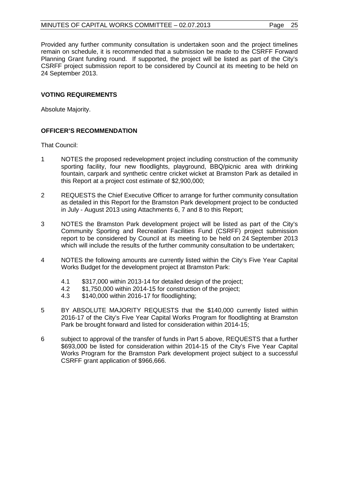Provided any further community consultation is undertaken soon and the project timelines remain on schedule, it is recommended that a submission be made to the CSRFF Forward Planning Grant funding round. If supported, the project will be listed as part of the City's CSRFF project submission report to be considered by Council at its meeting to be held on 24 September 2013.

## **VOTING REQUIREMENTS**

Absolute Majority.

## **OFFICER'S RECOMMENDATION**

That Council:

- 1 NOTES the proposed redevelopment project including construction of the community sporting facility, four new floodlights, playground, BBQ/picnic area with drinking fountain, carpark and synthetic centre cricket wicket at Bramston Park as detailed in this Report at a project cost estimate of \$2,900,000;
- 2 REQUESTS the Chief Executive Officer to arrange for further community consultation as detailed in this Report for the Bramston Park development project to be conducted in July - August 2013 using Attachments 6, 7 and 8 to this Report;
- 3 NOTES the Bramston Park development project will be listed as part of the City's Community Sporting and Recreation Facilities Fund (CSRFF) project submission report to be considered by Council at its meeting to be held on 24 September 2013 which will include the results of the further community consultation to be undertaken;
- 4 NOTES the following amounts are currently listed within the City's Five Year Capital Works Budget for the development project at Bramston Park:
	- 4.1 \$317,000 within 2013-14 for detailed design of the project;
	- 4.2 \$1,750,000 within 2014-15 for construction of the project;
	- 4.3 \$140,000 within 2016-17 for floodlighting;
- 5 BY ABSOLUTE MAJORITY REQUESTS that the \$140,000 currently listed within 2016-17 of the City's Five Year Capital Works Program for floodlighting at Bramston Park be brought forward and listed for consideration within 2014-15;
- 6 subject to approval of the transfer of funds in Part 5 above, REQUESTS that a further \$693,000 be listed for consideration within 2014-15 of the City's Five Year Capital Works Program for the Bramston Park development project subject to a successful CSRFF grant application of \$966,666.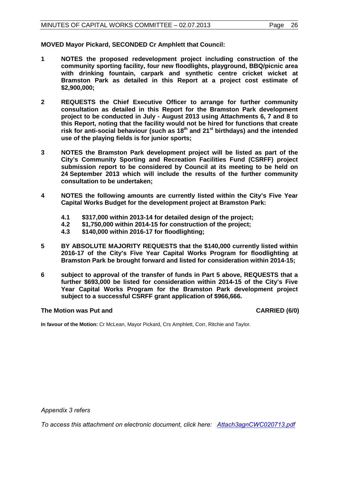**MOVED Mayor Pickard, SECONDED Cr Amphlett that Council:**

- **1 NOTES the proposed redevelopment project including construction of the community sporting facility, four new floodlights, playground, BBQ/picnic area with drinking fountain, carpark and synthetic centre cricket wicket at Bramston Park as detailed in this Report at a project cost estimate of \$2,900,000;**
- **2 REQUESTS the Chief Executive Officer to arrange for further community consultation as detailed in this Report for the Bramston Park development project to be conducted in July - August 2013 using Attachments 6, 7 and 8 to this Report, noting that the facility would not be hired for functions that create risk for anti-social behaviour (such as 18th and 21st birthdays) and the intended use of the playing fields is for junior sports;**
- **3 NOTES the Bramston Park development project will be listed as part of the City's Community Sporting and Recreation Facilities Fund (CSRFF) project submission report to be considered by Council at its meeting to be held on 24 September 2013 which will include the results of the further community consultation to be undertaken;**
- **4 NOTES the following amounts are currently listed within the City's Five Year Capital Works Budget for the development project at Bramston Park:**
	- **4.1 \$317,000 within 2013-14 for detailed design of the project;**
	- **4.2 \$1,750,000 within 2014-15 for construction of the project;**
	- **4.3 \$140,000 within 2016-17 for floodlighting;**
- **5 BY ABSOLUTE MAJORITY REQUESTS that the \$140,000 currently listed within 2016-17 of the City's Five Year Capital Works Program for floodlighting at Bramston Park be brought forward and listed for consideration within 2014-15;**
- **6 subject to approval of the transfer of funds in Part 5 above, REQUESTS that a further \$693,000 be listed for consideration within 2014-15 of the City's Five Year Capital Works Program for the Bramston Park development project subject to a successful CSRFF grant application of \$966,666.**

#### **The Motion was Put and CARRIED (6/0) CARRIED (6/0)**

**In favour of the Motion:** Cr McLean, Mayor Pickard, Crs Amphlett, Corr, Ritchie and Taylor.

*Appendix 3 refers*

*[To access this attachment on electronic document, click here: Attach3agnCWC020713.pdf](http://www.joondalup.wa.gov.au/files/committees/CWOC/2013/Attach3agnCWC020713.pdf)*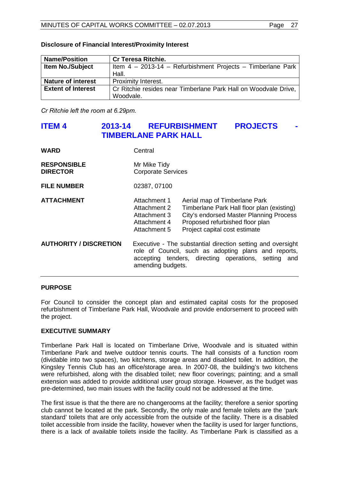| <b>Name/Position</b>                                                                         | <b>Cr Teresa Ritchie.</b>                                   |
|----------------------------------------------------------------------------------------------|-------------------------------------------------------------|
| <b>Item No./Subject</b>                                                                      | Item 4 - 2013-14 - Refurbishment Projects - Timberlane Park |
|                                                                                              | Hall.                                                       |
| <b>Nature of interest</b>                                                                    | Proximity Interest.                                         |
| Cr Ritchie resides near Timberlane Park Hall on Woodvale Drive,<br><b>Extent of Interest</b> |                                                             |
|                                                                                              | Woodvale.                                                   |

#### **Disclosure of Financial Interest/Proximity Interest**

*Cr Ritchie left the room at 6.29pm.*

# <span id="page-26-0"></span>**ITEM 4 2013-14 REFURBISHMENT PROJECTS TIMBERLANE PARK HALL**

| <b>WARD</b>                           | Central                                                                                                                                                                                          |                                                                                                                                                                                            |  |
|---------------------------------------|--------------------------------------------------------------------------------------------------------------------------------------------------------------------------------------------------|--------------------------------------------------------------------------------------------------------------------------------------------------------------------------------------------|--|
| <b>RESPONSIBLE</b><br><b>DIRECTOR</b> | Mr Mike Tidy<br><b>Corporate Services</b>                                                                                                                                                        |                                                                                                                                                                                            |  |
| <b>FILE NUMBER</b>                    | 02387, 07100                                                                                                                                                                                     |                                                                                                                                                                                            |  |
| <b>ATTACHMENT</b>                     | Attachment 1<br>Attachment 2<br>Attachment 3<br>Attachment 4<br>Attachment 5                                                                                                                     | Aerial map of Timberlane Park<br>Timberlane Park Hall floor plan (existing)<br>City's endorsed Master Planning Process<br>Proposed refurbished floor plan<br>Project capital cost estimate |  |
| <b>AUTHORITY / DISCRETION</b>         | Executive - The substantial direction setting and oversight<br>role of Council, such as adopting plans and reports,<br>accepting tenders, directing operations, setting and<br>amending budgets. |                                                                                                                                                                                            |  |

## **PURPOSE**

For Council to consider the concept plan and estimated capital costs for the proposed refurbishment of Timberlane Park Hall, Woodvale and provide endorsement to proceed with the project.

## **EXECUTIVE SUMMARY**

Timberlane Park Hall is located on Timberlane Drive, Woodvale and is situated within Timberlane Park and twelve outdoor tennis courts. The hall consists of a function room (dividable into two spaces), two kitchens, storage areas and disabled toilet. In addition, the Kingsley Tennis Club has an office/storage area. In 2007-08, the building's two kitchens were refurbished, along with the disabled toilet; new floor coverings; painting; and a small extension was added to provide additional user group storage. However, as the budget was pre-determined, two main issues with the facility could not be addressed at the time.

The first issue is that the there are no changerooms at the facility; therefore a senior sporting club cannot be located at the park. Secondly, the only male and female toilets are the 'park standard' toilets that are only accessible from the outside of the facility. There is a disabled toilet accessible from inside the facility, however when the facility is used for larger functions, there is a lack of available toilets inside the facility. As Timberlane Park is classified as a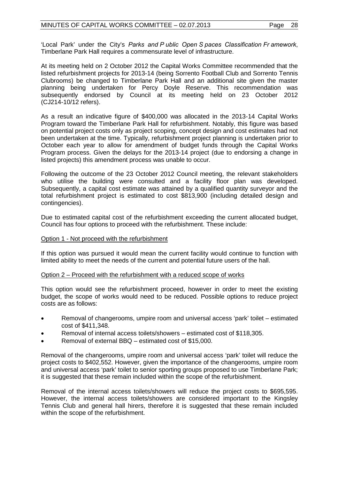'Local Park' under the City's *Parks and P ublic Open S paces Classification Fr amework*, Timberlane Park Hall requires a commensurate level of infrastructure.

At its meeting held on 2 October 2012 the Capital Works Committee recommended that the listed refurbishment projects for 2013-14 (being Sorrento Football Club and Sorrento Tennis Clubrooms) be changed to Timberlane Park Hall and an additional site given the master planning being undertaken for Percy Doyle Reserve. This recommendation was subsequently endorsed by Council at its meeting held on 23 October 2012 (CJ214-10/12 refers).

As a result an indicative figure of \$400,000 was allocated in the 2013-14 Capital Works Program toward the Timberlane Park Hall for refurbishment. Notably, this figure was based on potential project costs only as project scoping, concept design and cost estimates had not been undertaken at the time. Typically, refurbishment project planning is undertaken prior to October each year to allow for amendment of budget funds through the Capital Works Program process. Given the delays for the 2013-14 project (due to endorsing a change in listed projects) this amendment process was unable to occur.

Following the outcome of the 23 October 2012 Council meeting, the relevant stakeholders who utilise the building were consulted and a facility floor plan was developed. Subsequently, a capital cost estimate was attained by a qualified quantity surveyor and the total refurbishment project is estimated to cost \$813,900 (including detailed design and contingencies).

Due to estimated capital cost of the refurbishment exceeding the current allocated budget, Council has four options to proceed with the refurbishment. These include:

#### Option 1 - Not proceed with the refurbishment

If this option was pursued it would mean the current facility would continue to function with limited ability to meet the needs of the current and potential future users of the hall.

#### Option 2 – Proceed with the refurbishment with a reduced scope of works

This option would see the refurbishment proceed, however in order to meet the existing budget, the scope of works would need to be reduced. Possible options to reduce project costs are as follows:

- Removal of changerooms, umpire room and universal access 'park' toilet estimated cost of \$411,348.
- Removal of internal access toilets/showers estimated cost of \$118,305.
- Removal of external BBQ estimated cost of \$15,000.

Removal of the changerooms, umpire room and universal access 'park' toilet will reduce the project costs to \$402,552. However, given the importance of the changerooms, umpire room and universal access 'park' toilet to senior sporting groups proposed to use Timberlane Park; it is suggested that these remain included within the scope of the refurbishment.

Removal of the internal access toilets/showers will reduce the project costs to \$695,595. However, the internal access toilets/showers are considered important to the Kingsley Tennis Club and general hall hirers, therefore it is suggested that these remain included within the scope of the refurbishment.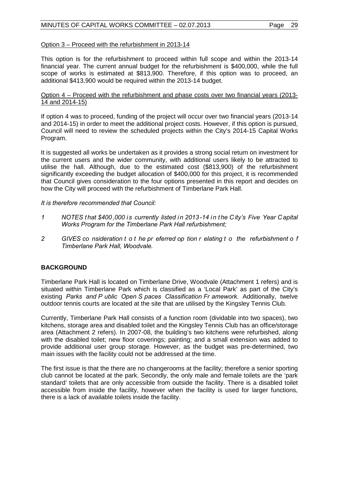# Option 3 – Proceed with the refurbishment in 2013-14

This option is for the refurbishment to proceed within full scope and within the 2013-14 financial year. The current annual budget for the refurbishment is \$400,000, while the full scope of works is estimated at \$813,900. Therefore, if this option was to proceed, an additional \$413,900 would be required within the 2013-14 budget.

#### Option 4 – Proceed with the refurbishment and phase costs over two financial years (2013- 14 and 2014-15)

If option 4 was to proceed, funding of the project will occur over two financial years (2013-14 and 2014-15) in order to meet the additional project costs. However, if this option is pursued, Council will need to review the scheduled projects within the City's 2014-15 Capital Works Program.

It is suggested all works be undertaken as it provides a strong social return on investment for the current users and the wider community, with additional users likely to be attracted to utilise the hall. Although, due to the estimated cost (\$813,900) of the refurbishment significantly exceeding the budget allocation of \$400,000 for this project, it is recommended that Council gives consideration to the four options presented in this report and decides on how the City will proceed with the refurbishment of Timberlane Park Hall.

*It is therefore recommended that Council:*

- *1 NOTES t hat \$400,000 is currently listed in 2013-14 in t he City's Five Year Capital Works Program for the Timberlane Park Hall refurbishment;*
- *2 GIVES co nsideration t o t he pr eferred op tion r elating t o the refurbishment o f Timberlane Park Hall, Woodvale.*

# **BACKGROUND**

Timberlane Park Hall is located on Timberlane Drive, Woodvale (Attachment 1 refers) and is situated within Timberlane Park which is classified as a 'Local Park' as part of the City's existing *Parks and P ublic Open S paces Classification Fr amework*. Additionally, twelve outdoor tennis courts are located at the site that are utilised by the Kingsley Tennis Club.

Currently, Timberlane Park Hall consists of a function room (dividable into two spaces), two kitchens, storage area and disabled toilet and the Kingsley Tennis Club has an office/storage area (Attachment 2 refers). In 2007-08, the building's two kitchens were refurbished, along with the disabled toilet; new floor coverings; painting; and a small extension was added to provide additional user group storage. However, as the budget was pre-determined, two main issues with the facility could not be addressed at the time.

The first issue is that the there are no changerooms at the facility; therefore a senior sporting club cannot be located at the park. Secondly, the only male and female toilets are the 'park standard' toilets that are only accessible from outside the facility. There is a disabled toilet accessible from inside the facility, however when the facility is used for larger functions, there is a lack of available toilets inside the facility.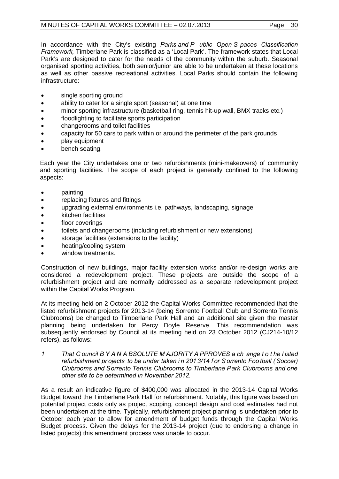In accordance with the City's existing *Parks and P ublic Open S paces Classification Framework,* Timberlane Park is classified as a 'Local Park'. The framework states that Local Park's are designed to cater for the needs of the community within the suburb. Seasonal organised sporting activities, both senior/junior are able to be undertaken at these locations as well as other passive recreational activities. Local Parks should contain the following infrastructure:

- single sporting ground
- ability to cater for a single sport (seasonal) at one time
- minor sporting infrastructure (basketball ring, tennis hit-up wall, BMX tracks etc.)
- floodlighting to facilitate sports participation
- changerooms and toilet facilities
- capacity for 50 cars to park within or around the perimeter of the park grounds
- play equipment
- bench seating.

Each year the City undertakes one or two refurbishments (mini-makeovers) of community and sporting facilities. The scope of each project is generally confined to the following aspects:

- painting
- replacing fixtures and fittings
- upgrading external environments i.e. pathways, landscaping, signage
- kitchen facilities
- floor coverings
- toilets and changerooms (including refurbishment or new extensions)
- storage facilities (extensions to the facility)
- heating/cooling system
- window treatments.

Construction of new buildings, major facility extension works and/or re-design works are considered a redevelopment project. These projects are outside the scope of a refurbishment project and are normally addressed as a separate redevelopment project within the Capital Works Program.

At its meeting held on 2 October 2012 the Capital Works Committee recommended that the listed refurbishment projects for 2013-14 (being Sorrento Football Club and Sorrento Tennis Clubrooms) be changed to Timberlane Park Hall and an additional site given the master planning being undertaken for Percy Doyle Reserve. This recommendation was subsequently endorsed by Council at its meeting held on 23 October 2012 (CJ214-10/12 refers), as follows:

*1 That C ouncil B Y A N A BSOLUTE M AJORITY A PPROVES a ch ange t o t he l isted refurbishment pr ojects to be under taken i n 201 3/14 f or S orrento Foo tball ( Soccer) Clubrooms and Sorrento Tennis Clubrooms to Timberlane Park Clubrooms and one other site to be determined in November 2012.*

As a result an indicative figure of \$400,000 was allocated in the 2013-14 Capital Works Budget toward the Timberlane Park Hall for refurbishment. Notably, this figure was based on potential project costs only as project scoping, concept design and cost estimates had not been undertaken at the time. Typically, refurbishment project planning is undertaken prior to October each year to allow for amendment of budget funds through the Capital Works Budget process. Given the delays for the 2013-14 project (due to endorsing a change in listed projects) this amendment process was unable to occur.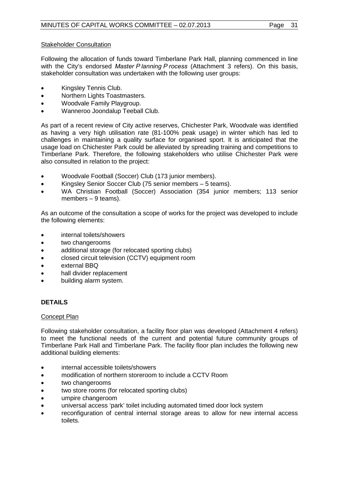# Stakeholder Consultation

Following the allocation of funds toward Timberlane Park Hall, planning commenced in line with the City's endorsed *Master P lanning P rocess* (Attachment 3 refers). On this basis, stakeholder consultation was undertaken with the following user groups:

- Kingsley Tennis Club.
- Northern Lights Toastmasters.
- Woodvale Family Playgroup.
- Wanneroo Joondalup Teeball Club.

As part of a recent review of City active reserves, Chichester Park, Woodvale was identified as having a very high utilisation rate (81-100% peak usage) in winter which has led to challenges in maintaining a quality surface for organised sport. It is anticipated that the usage load on Chichester Park could be alleviated by spreading training and competitions to Timberlane Park. Therefore, the following stakeholders who utilise Chichester Park were also consulted in relation to the project:

- Woodvale Football (Soccer) Club (173 junior members).
- Kingsley Senior Soccer Club (75 senior members 5 teams).
- WA Christian Football (Soccer) Association (354 junior members; 113 senior members – 9 teams).

As an outcome of the consultation a scope of works for the project was developed to include the following elements:

- internal toilets/showers
- two changerooms
- additional storage (for relocated sporting clubs)
- closed circuit television (CCTV) equipment room
- external BBQ
- hall divider replacement
- building alarm system.

# **DETAILS**

## Concept Plan

Following stakeholder consultation, a facility floor plan was developed (Attachment 4 refers) to meet the functional needs of the current and potential future community groups of Timberlane Park Hall and Timberlane Park. The facility floor plan includes the following new additional building elements:

- internal accessible toilets/showers
- modification of northern storeroom to include a CCTV Room
- two changerooms
- two store rooms (for relocated sporting clubs)
- umpire changeroom
- universal access 'park' toilet including automated timed door lock system
- reconfiguration of central internal storage areas to allow for new internal access toilets.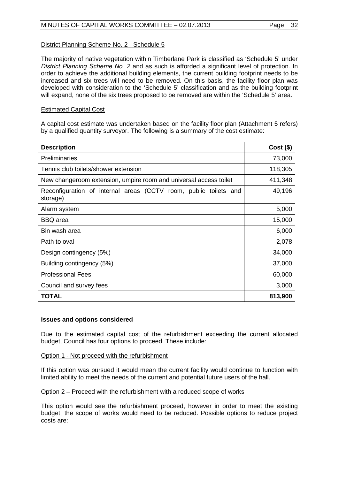# District Planning Scheme No. 2 - Schedule 5

The majority of native vegetation within Timberlane Park is classified as 'Schedule 5' under *District Planning Scheme No. 2* and as such is afforded a significant level of protection. In order to achieve the additional building elements, the current building footprint needs to be increased and six trees will need to be removed. On this basis, the facility floor plan was developed with consideration to the 'Schedule 5' classification and as the building footprint will expand, none of the six trees proposed to be removed are within the 'Schedule 5' area.

## Estimated Capital Cost

A capital cost estimate was undertaken based on the facility floor plan (Attachment 5 refers) by a qualified quantity surveyor. The following is a summary of the cost estimate:

| <b>Description</b>                                                           | $Cost($ \$) |
|------------------------------------------------------------------------------|-------------|
| <b>Preliminaries</b>                                                         | 73,000      |
| Tennis club toilets/shower extension                                         | 118,305     |
| New changeroom extension, umpire room and universal access toilet            | 411,348     |
| Reconfiguration of internal areas (CCTV room, public toilets and<br>storage) | 49,196      |
| Alarm system                                                                 | 5,000       |
| <b>BBQ</b> area                                                              | 15,000      |
| Bin wash area                                                                | 6,000       |
| Path to oval                                                                 | 2,078       |
| Design contingency (5%)                                                      | 34,000      |
| Building contingency (5%)                                                    | 37,000      |
| <b>Professional Fees</b>                                                     | 60,000      |
| Council and survey fees                                                      | 3,000       |
| <b>TOTAL</b>                                                                 | 813,900     |

#### **Issues and options considered**

Due to the estimated capital cost of the refurbishment exceeding the current allocated budget, Council has four options to proceed. These include:

#### Option 1 - Not proceed with the refurbishment

If this option was pursued it would mean the current facility would continue to function with limited ability to meet the needs of the current and potential future users of the hall.

## Option 2 – Proceed with the refurbishment with a reduced scope of works

This option would see the refurbishment proceed, however in order to meet the existing budget, the scope of works would need to be reduced. Possible options to reduce project costs are: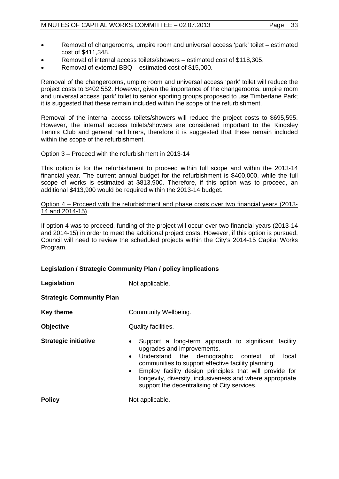- Removal of changerooms, umpire room and universal access 'park' toilet estimated cost of \$411,348.
- Removal of internal access toilets/showers estimated cost of \$118,305.
- Removal of external BBQ estimated cost of \$15,000.

Removal of the changerooms, umpire room and universal access 'park' toilet will reduce the project costs to \$402,552. However, given the importance of the changerooms, umpire room and universal access 'park' toilet to senior sporting groups proposed to use Timberlane Park; it is suggested that these remain included within the scope of the refurbishment.

Removal of the internal access toilets/showers will reduce the project costs to \$695,595. However, the internal access toilets/showers are considered important to the Kingsley Tennis Club and general hall hirers, therefore it is suggested that these remain included within the scope of the refurbishment.

#### Option 3 – Proceed with the refurbishment in 2013-14

This option is for the refurbishment to proceed within full scope and within the 2013-14 financial year. The current annual budget for the refurbishment is \$400,000, while the full scope of works is estimated at \$813,900. Therefore, if this option was to proceed, an additional \$413,900 would be required within the 2013-14 budget.

#### Option 4 – Proceed with the refurbishment and phase costs over two financial years (2013- 14 and 2014-15)

If option 4 was to proceed, funding of the project will occur over two financial years (2013-14 and 2014-15) in order to meet the additional project costs. However, if this option is pursued, Council will need to review the scheduled projects within the City's 2014-15 Capital Works Program.

## **Legislation / Strategic Community Plan / policy implications**

| Legislation                     | Not applicable.                                                                                                                                                                                                                                                                                                                                                                                            |  |  |  |  |
|---------------------------------|------------------------------------------------------------------------------------------------------------------------------------------------------------------------------------------------------------------------------------------------------------------------------------------------------------------------------------------------------------------------------------------------------------|--|--|--|--|
| <b>Strategic Community Plan</b> |                                                                                                                                                                                                                                                                                                                                                                                                            |  |  |  |  |
| <b>Key theme</b>                | Community Wellbeing.                                                                                                                                                                                                                                                                                                                                                                                       |  |  |  |  |
| <b>Objective</b>                | Quality facilities.                                                                                                                                                                                                                                                                                                                                                                                        |  |  |  |  |
| <b>Strategic initiative</b>     | Support a long-term approach to significant facility<br>$\bullet$<br>upgrades and improvements.<br>Understand the demographic context of<br>local<br>$\bullet$<br>communities to support effective facility planning.<br>Employ facility design principles that will provide for<br>$\bullet$<br>longevity, diversity, inclusiveness and where appropriate<br>support the decentralising of City services. |  |  |  |  |
| <b>Policy</b>                   | Not applicable.                                                                                                                                                                                                                                                                                                                                                                                            |  |  |  |  |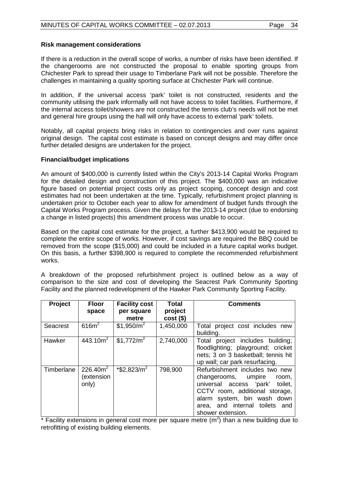#### **Risk management considerations**

If there is a reduction in the overall scope of works, a number of risks have been identified. If the changerooms are not constructed the proposal to enable sporting groups from Chichester Park to spread their usage to Timberlane Park will not be possible. Therefore the challenges in maintaining a quality sporting surface at Chichester Park will continue.

In addition, if the universal access 'park' toilet is not constructed, residents and the community utilising the park informally will not have access to toilet facilities. Furthermore, if the internal access toilet/showers are not constructed the tennis club's needs will not be met and general hire groups using the hall will only have access to external 'park' toilets.

Notably, all capital projects bring risks in relation to contingencies and over runs against original design. The capital cost estimate is based on concept designs and may differ once further detailed designs are undertaken for the project.

#### **Financial/budget implications**

An amount of \$400,000 is currently listed within the City's 2013-14 Capital Works Program for the detailed design and construction of this project. The \$400,000 was an indicative figure based on potential project costs only as project scoping, concept design and cost estimates had not been undertaken at the time. Typically, refurbishment project planning is undertaken prior to October each year to allow for amendment of budget funds through the Capital Works Program process. Given the delays for the 2013-14 project (due to endorsing a change in listed projects) this amendment process was unable to occur.

Based on the capital cost estimate for the project, a further \$413,900 would be required to complete the entire scope of works. However, if cost savings are required the BBQ could be removed from the scope (\$15,000) and could be included in a future capital works budget. On this basis, a further \$398,900 is required to complete the recommended refurbishment works.

A breakdown of the proposed refurbishment project is outlined below as a way of comparison to the size and cost of developing the Seacrest Park Community Sporting Facility and the planned redevelopment of the Hawker Park Community Sporting Facility.

| Project         | <b>Floor</b>        | <b>Facility cost</b>       | <b>Total</b> | <b>Comments</b>                     |
|-----------------|---------------------|----------------------------|--------------|-------------------------------------|
|                 | space               | per square                 | project      |                                     |
|                 |                     | metre                      | $cost($ \$)  |                                     |
| <b>Seacrest</b> | 616m <sup>2</sup>   | \$1,950/m <sup>2</sup>     | 1,450,000    | Total project cost includes new     |
|                 |                     |                            |              | building.                           |
| Hawker          | 443.10 <sup>2</sup> | \$1,772/m <sup>2</sup>     | 2,740,000    | project includes building;<br>Total |
|                 |                     |                            |              | floodlighting; playground; cricket  |
|                 |                     |                            |              | nets; 3 on 3 basketball; tennis hit |
|                 |                     |                            |              | up wall; car park resurfacing.      |
| Timberlane      | 226.40 $m2$         | $*$ \$2,823/m <sup>2</sup> | 798,900      | Refurbishment includes two new      |
|                 | (extension          |                            |              | changerooms, umpire<br>room,        |
|                 | only)               |                            |              | universal access 'park'<br>toilet.  |
|                 |                     |                            |              | CCTV room, additional storage,      |
|                 |                     |                            |              | alarm system, bin wash down         |
|                 |                     |                            |              | area, and internal toilets and      |
|                 |                     |                            |              | shower extension.                   |

\* Facility extensions in general cost more per square metre  $(m<sup>2</sup>)$  than a new building due to retrofitting of existing building elements.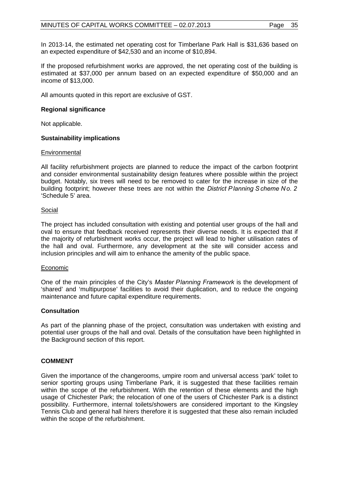In 2013-14, the estimated net operating cost for Timberlane Park Hall is \$31,636 based on an expected expenditure of \$42,530 and an income of \$10,894.

If the proposed refurbishment works are approved, the net operating cost of the building is estimated at \$37,000 per annum based on an expected expenditure of \$50,000 and an income of \$13,000.

All amounts quoted in this report are exclusive of GST.

# **Regional significance**

Not applicable.

# **Sustainability implications**

## **Environmental**

All facility refurbishment projects are planned to reduce the impact of the carbon footprint and consider environmental sustainability design features where possible within the project budget. Notably, six trees will need to be removed to cater for the increase in size of the building footprint; however these trees are not within the *District P lanning S cheme No. 2* 'Schedule 5' area.

## Social

The project has included consultation with existing and potential user groups of the hall and oval to ensure that feedback received represents their diverse needs. It is expected that if the majority of refurbishment works occur, the project will lead to higher utilisation rates of the hall and oval. Furthermore, any development at the site will consider access and inclusion principles and will aim to enhance the amenity of the public space.

## Economic

One of the main principles of the City's *Master Planning Framework* is the development of 'shared' and 'multipurpose' facilities to avoid their duplication, and to reduce the ongoing maintenance and future capital expenditure requirements.

## **Consultation**

As part of the planning phase of the project, consultation was undertaken with existing and potential user groups of the hall and oval. Details of the consultation have been highlighted in the Background section of this report.

## **COMMENT**

Given the importance of the changerooms, umpire room and universal access 'park' toilet to senior sporting groups using Timberlane Park, it is suggested that these facilities remain within the scope of the refurbishment. With the retention of these elements and the high usage of Chichester Park; the relocation of one of the users of Chichester Park is a distinct possibility. Furthermore, internal toilets/showers are considered important to the Kingsley Tennis Club and general hall hirers therefore it is suggested that these also remain included within the scope of the refurbishment.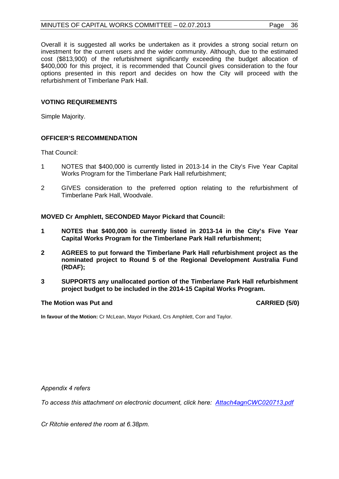# MINUTES OF CAPITAL WORKS COMMITTEE - 02.07.2013 Page 36

Overall it is suggested all works be undertaken as it provides a strong social return on investment for the current users and the wider community. Although, due to the estimated cost (\$813,900) of the refurbishment significantly exceeding the budget allocation of \$400,000 for this project, it is recommended that Council gives consideration to the four options presented in this report and decides on how the City will proceed with the refurbishment of Timberlane Park Hall.

# **VOTING REQUIREMENTS**

Simple Majority.

## **OFFICER'S RECOMMENDATION**

That Council:

- 1 NOTES that \$400,000 is currently listed in 2013-14 in the City's Five Year Capital Works Program for the Timberlane Park Hall refurbishment;
- 2 GIVES consideration to the preferred option relating to the refurbishment of Timberlane Park Hall, Woodvale.

**MOVED Cr Amphlett, SECONDED Mayor Pickard that Council:**

- **1 NOTES that \$400,000 is currently listed in 2013-14 in the City's Five Year Capital Works Program for the Timberlane Park Hall refurbishment;**
- **2 AGREES to put forward the Timberlane Park Hall refurbishment project as the nominated project to Round 5 of the Regional Development Australia Fund (RDAF);**
- **3 SUPPORTS any unallocated portion of the Timberlane Park Hall refurbishment project budget to be included in the 2014-15 Capital Works Program.**

#### The Motion was Put and **CARRIED** (5/0)

**In favour of the Motion:** Cr McLean, Mayor Pickard, Crs Amphlett, Corr and Taylor.

*Appendix 4 refers*

*[To access this attachment on electronic document, click here: Attach4agnCWC020713.pdf](http://www.joondalup.wa.gov.au/files/committees/CWOC/2013/Attach4agnCWC020713.pdf)*

*Cr Ritchie entered the room at 6.38pm.*